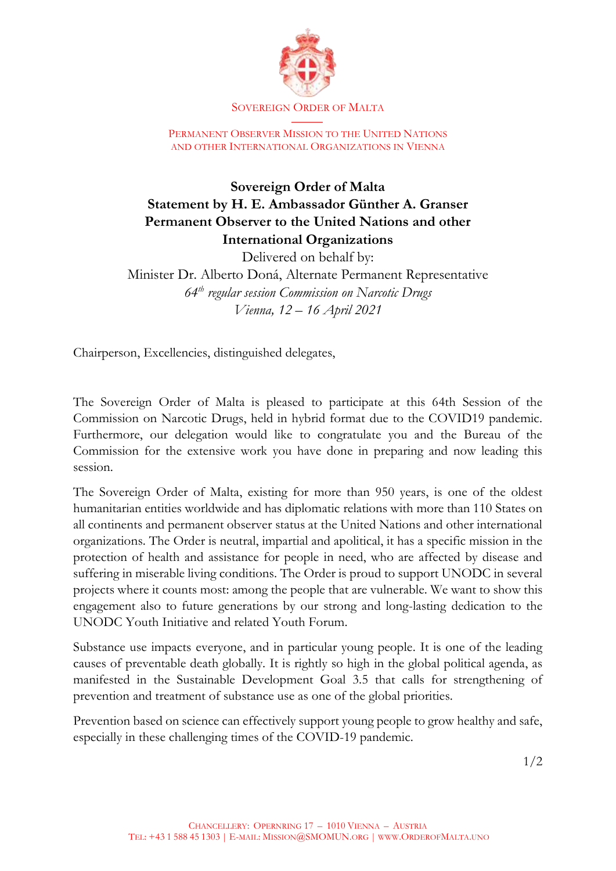

SOVEREIGN ORDER OF MALTA

PERMANENT OBSERVER MISSION TO THE UNITED NATIONS AND OTHER INTERNATIONAL ORGANIZATIONS IN VIENNA

## **Sovereign Order of Malta Statement by H. E. Ambassador Günther A. Granser Permanent Observer to the United Nations and other International Organizations**

Delivered on behalf by: Minister Dr. Alberto Doná, Alternate Permanent Representative *64th regular session Commission on Narcotic Drugs Vienna, 12 – 16 April 2021*

Chairperson, Excellencies, distinguished delegates,

The Sovereign Order of Malta is pleased to participate at this 64th Session of the Commission on Narcotic Drugs, held in hybrid format due to the COVID19 pandemic. Furthermore, our delegation would like to congratulate you and the Bureau of the Commission for the extensive work you have done in preparing and now leading this session.

The Sovereign Order of Malta, existing for more than 950 years, is one of the oldest humanitarian entities worldwide and has diplomatic relations with more than 110 States on all continents and permanent observer status at the United Nations and other international organizations. The Order is neutral, impartial and apolitical, it has a specific mission in the protection of health and assistance for people in need, who are affected by disease and suffering in miserable living conditions. The Order is proud to support UNODC in several projects where it counts most: among the people that are vulnerable. We want to show this engagement also to future generations by our strong and long-lasting dedication to the UNODC Youth Initiative and related Youth Forum.

Substance use impacts everyone, and in particular young people. It is one of the leading causes of preventable death globally. It is rightly so high in the global political agenda, as manifested in the Sustainable Development Goal 3.5 that calls for strengthening of prevention and treatment of substance use as one of the global priorities.

Prevention based on science can effectively support young people to grow healthy and safe, especially in these challenging times of the COVID-19 pandemic.

1/2